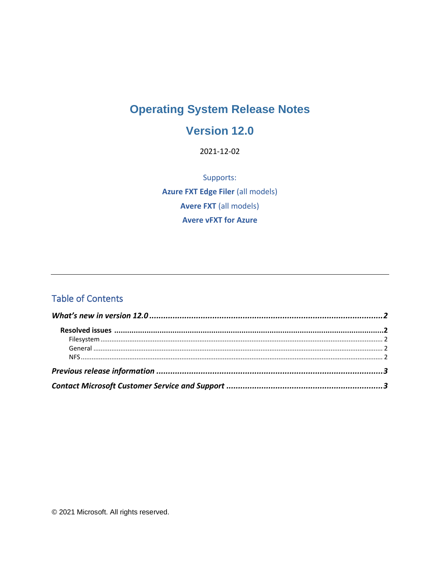# **Operating System Release Notes**

### Version 12.0

2021-12-02

Supports: **Azure FXT Edge Filer (all models) Avere FXT (all models) Avere vFXT for Azure** 

### **Table of Contents**

© 2021 Microsoft. All rights reserved.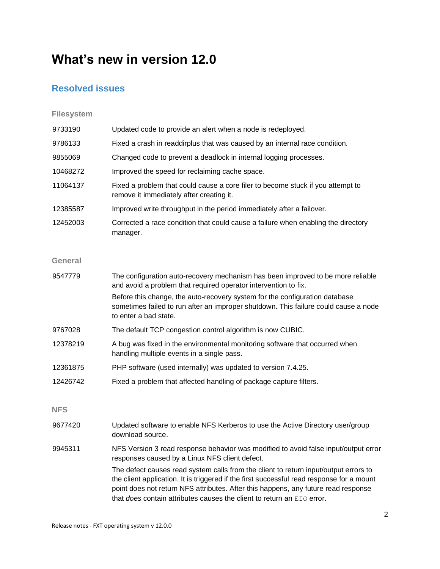# <span id="page-1-0"></span>**What's new in version 12.0**

#### <span id="page-1-1"></span>**Resolved issues**

#### <span id="page-1-2"></span>**Filesystem**

<span id="page-1-4"></span><span id="page-1-3"></span>

| 9733190        | Updated code to provide an alert when a node is redeployed.                                                                                                                                                                                                                                                                                       |
|----------------|---------------------------------------------------------------------------------------------------------------------------------------------------------------------------------------------------------------------------------------------------------------------------------------------------------------------------------------------------|
| 9786133        | Fixed a crash in readdirplus that was caused by an internal race condition.                                                                                                                                                                                                                                                                       |
| 9855069        | Changed code to prevent a deadlock in internal logging processes.                                                                                                                                                                                                                                                                                 |
| 10468272       | Improved the speed for reclaiming cache space.                                                                                                                                                                                                                                                                                                    |
| 11064137       | Fixed a problem that could cause a core filer to become stuck if you attempt to<br>remove it immediately after creating it.                                                                                                                                                                                                                       |
| 12385587       | Improved write throughput in the period immediately after a failover.                                                                                                                                                                                                                                                                             |
| 12452003       | Corrected a race condition that could cause a failure when enabling the directory<br>manager.                                                                                                                                                                                                                                                     |
| <b>General</b> |                                                                                                                                                                                                                                                                                                                                                   |
| 9547779        | The configuration auto-recovery mechanism has been improved to be more reliable<br>and avoid a problem that required operator intervention to fix.                                                                                                                                                                                                |
|                | Before this change, the auto-recovery system for the configuration database<br>sometimes failed to run after an improper shutdown. This failure could cause a node<br>to enter a bad state.                                                                                                                                                       |
| 9767028        | The default TCP congestion control algorithm is now CUBIC.                                                                                                                                                                                                                                                                                        |
| 12378219       | A bug was fixed in the environmental monitoring software that occurred when<br>handling multiple events in a single pass.                                                                                                                                                                                                                         |
| 12361875       | PHP software (used internally) was updated to version 7.4.25.                                                                                                                                                                                                                                                                                     |
| 12426742       | Fixed a problem that affected handling of package capture filters.                                                                                                                                                                                                                                                                                |
| <b>NFS</b>     |                                                                                                                                                                                                                                                                                                                                                   |
| 9677420        | Updated software to enable NFS Kerberos to use the Active Directory user/group<br>download source.                                                                                                                                                                                                                                                |
| 9945311        | NFS Version 3 read response behavior was modified to avoid false input/output error<br>responses caused by a Linux NFS client defect.                                                                                                                                                                                                             |
|                | The defect causes read system calls from the client to return input/output errors to<br>the client application. It is triggered if the first successful read response for a mount<br>point does not return NFS attributes. After this happens, any future read response<br>that does contain attributes causes the client to return an EIO error. |